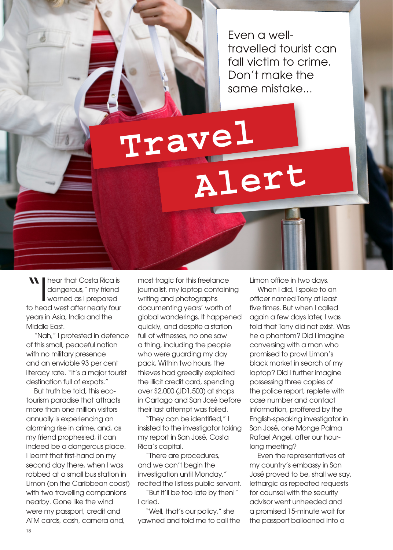Even a welltravelled tourist can fall victim to crime. Don't make the same mistake...

## **Travel Aler<sup>t</sup>**

**IN I hear that Costa Rica is** dangerous," my friend warned as I prepared to head west after nearly four years in Asia, India and the Middle East.

"Nah," I protested in defence of this small, peaceful nation with no military presence and an enviable 93 per cent literacy rate. "It's a major tourist destination full of expats."

But truth be told, this ecotourism paradise that attracts more than one million visitors annually is experiencing an alarming rise in crime, and, as my friend prophesied, it can indeed be a dangerous place. I learnt that first-hand on my second day there, when I was robbed at a small bus station in Limon (on the Caribbean coast) with two travelling companions nearby. Gone like the wind were my passport, credit and ATM cards, cash, camera and,

most tragic for this freelance journalist, my laptop containing writing and photographs documenting years' worth of global wanderings. It happened quickly, and despite a station full of witnesses, no one saw a thing, including the people who were guarding my day pack. Within two hours, the thieves had greedily exploited the illicit credit card, spending over \$2,000 (JD1,500) at shops in Cartago and San José before their last attempt was foiled.

"They can be identified," I insisted to the investigator taking my report in San José, Costa Rica's capital.

"There are procedures, and we can't begin the investigation until Monday." recited the listless public servant. "But it'll be too late by then!" I cried.

"Well, that's our policy," she yawned and told me to call the Limon office in two days.

When I did, I spoke to an officer named Tony at least five times. But when I called again a few days later, I was told that Tony did not exist. Was he a phantom? Did I imagine conversing with a man who promised to prowl Limon's black market in search of my laptop? Did I further imagine possessing three copies of the police report, replete with case number and contact information, proffered by the English-speaking investigator in San José, one Monge Palma Rafael Angel, after our hourlong meeting?

Even the representatives at my country's embassy in San José proved to be, shall we say, lethargic as repeated requests for counsel with the security advisor went unheeded and a promised 15-minute wait for the passport ballooned into a